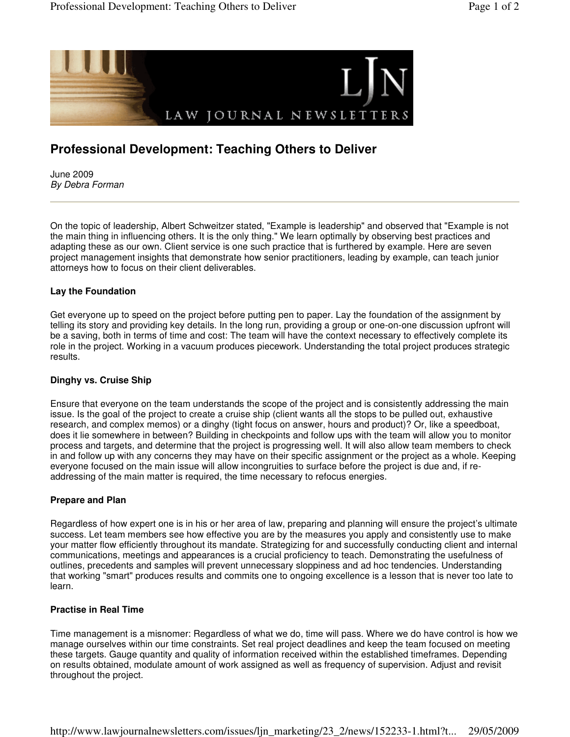

# **Professional Development: Teaching Others to Deliver**

June 2009 By Debra Forman

On the topic of leadership, Albert Schweitzer stated, "Example is leadership" and observed that "Example is not the main thing in influencing others. It is the only thing." We learn optimally by observing best practices and adapting these as our own. Client service is one such practice that is furthered by example. Here are seven project management insights that demonstrate how senior practitioners, leading by example, can teach junior attorneys how to focus on their client deliverables.

#### **Lay the Foundation**

Get everyone up to speed on the project before putting pen to paper. Lay the foundation of the assignment by telling its story and providing key details. In the long run, providing a group or one-on-one discussion upfront will be a saving, both in terms of time and cost: The team will have the context necessary to effectively complete its role in the project. Working in a vacuum produces piecework. Understanding the total project produces strategic results.

### **Dinghy vs. Cruise Ship**

Ensure that everyone on the team understands the scope of the project and is consistently addressing the main issue. Is the goal of the project to create a cruise ship (client wants all the stops to be pulled out, exhaustive research, and complex memos) or a dinghy (tight focus on answer, hours and product)? Or, like a speedboat, does it lie somewhere in between? Building in checkpoints and follow ups with the team will allow you to monitor process and targets, and determine that the project is progressing well. It will also allow team members to check in and follow up with any concerns they may have on their specific assignment or the project as a whole. Keeping everyone focused on the main issue will allow incongruities to surface before the project is due and, if readdressing of the main matter is required, the time necessary to refocus energies.

#### **Prepare and Plan**

Regardless of how expert one is in his or her area of law, preparing and planning will ensure the project's ultimate success. Let team members see how effective you are by the measures you apply and consistently use to make your matter flow efficiently throughout its mandate. Strategizing for and successfully conducting client and internal communications, meetings and appearances is a crucial proficiency to teach. Demonstrating the usefulness of outlines, precedents and samples will prevent unnecessary sloppiness and ad hoc tendencies. Understanding that working "smart" produces results and commits one to ongoing excellence is a lesson that is never too late to learn.

#### **Practise in Real Time**

Time management is a misnomer: Regardless of what we do, time will pass. Where we do have control is how we manage ourselves within our time constraints. Set real project deadlines and keep the team focused on meeting these targets. Gauge quantity and quality of information received within the established timeframes. Depending on results obtained, modulate amount of work assigned as well as frequency of supervision. Adjust and revisit throughout the project.